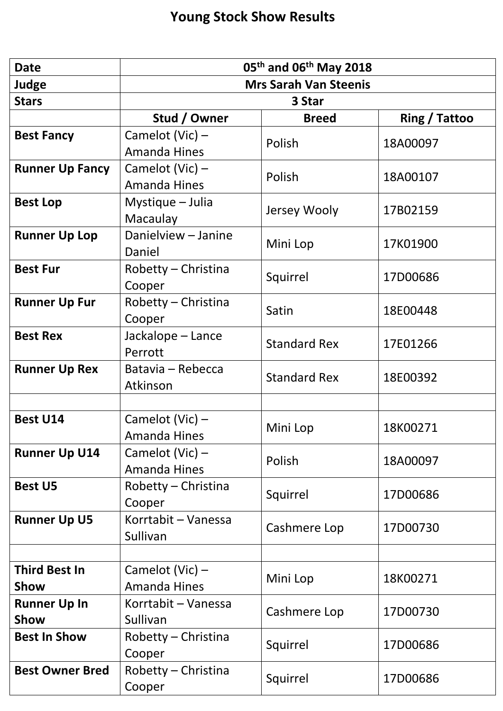| <b>Date</b>                  | 05 <sup>th</sup> and 06 <sup>th</sup> May 2018 |                     |               |  |
|------------------------------|------------------------------------------------|---------------------|---------------|--|
| Judge                        | <b>Mrs Sarah Van Steenis</b>                   |                     |               |  |
| <b>Stars</b>                 | 3 Star                                         |                     |               |  |
|                              | Stud / Owner                                   | <b>Breed</b>        | Ring / Tattoo |  |
| <b>Best Fancy</b>            | Camelot (Vic) -<br><b>Amanda Hines</b>         | Polish              | 18A00097      |  |
| <b>Runner Up Fancy</b>       | Camelot (Vic) -<br><b>Amanda Hines</b>         | Polish              | 18A00107      |  |
| <b>Best Lop</b>              | Mystique - Julia<br>Macaulay                   | Jersey Wooly        | 17B02159      |  |
| <b>Runner Up Lop</b>         | Danielview - Janine<br>Daniel                  | Mini Lop            | 17K01900      |  |
| <b>Best Fur</b>              | Robetty - Christina<br>Cooper                  | Squirrel            | 17D00686      |  |
| <b>Runner Up Fur</b>         | Robetty - Christina<br>Cooper                  | Satin               | 18E00448      |  |
| <b>Best Rex</b>              | Jackalope - Lance<br>Perrott                   | <b>Standard Rex</b> | 17E01266      |  |
| <b>Runner Up Rex</b>         | Batavia - Rebecca<br>Atkinson                  | <b>Standard Rex</b> | 18E00392      |  |
|                              |                                                |                     |               |  |
| <b>Best U14</b>              | Camelot (Vic) -<br><b>Amanda Hines</b>         | Mini Lop            | 18K00271      |  |
| <b>Runner Up U14</b>         | Camelot (Vic) -<br><b>Amanda Hines</b>         | Polish              | 18A00097      |  |
| <b>Best U5</b>               | Robetty – Christina<br>Cooper                  | Squirrel            | 17D00686      |  |
| <b>Runner Up U5</b>          | Korrtabit - Vanessa<br>Sullivan                | Cashmere Lop        | 17D00730      |  |
|                              |                                                |                     |               |  |
| <b>Third Best In</b><br>Show | Camelot (Vic) -<br><b>Amanda Hines</b>         | Mini Lop            | 18K00271      |  |
| <b>Runner Up In</b><br>Show  | Korrtabit - Vanessa<br>Sullivan                | Cashmere Lop        | 17D00730      |  |
| <b>Best In Show</b>          | Robetty - Christina<br>Cooper                  | Squirrel            | 17D00686      |  |
| <b>Best Owner Bred</b>       | Robetty - Christina<br>Cooper                  | Squirrel            | 17D00686      |  |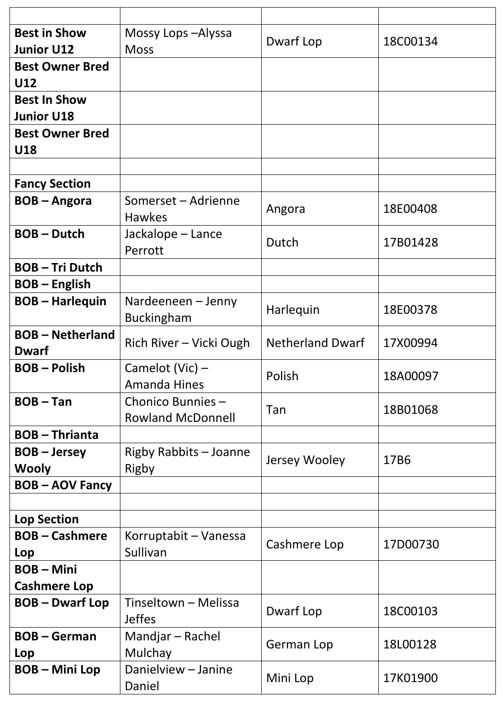| <b>Best in Show</b>                   | Mossy Lops - Alyssa                          | Dwarf Lop               | 18C00134 |
|---------------------------------------|----------------------------------------------|-------------------------|----------|
| <b>Junior U12</b>                     | <b>Moss</b>                                  |                         |          |
| <b>Best Owner Bred</b>                |                                              |                         |          |
| U12                                   |                                              |                         |          |
| <b>Best In Show</b>                   |                                              |                         |          |
| <b>Junior U18</b>                     |                                              |                         |          |
| <b>Best Owner Bred</b>                |                                              |                         |          |
| U18                                   |                                              |                         |          |
|                                       |                                              |                         |          |
| <b>Fancy Section</b>                  |                                              |                         |          |
| <b>BOB-Angora</b>                     | Somerset - Adrienne<br><b>Hawkes</b>         | Angora                  | 18E00408 |
| <b>BOB-Dutch</b>                      | Jackalope - Lance<br>Perrott                 | Dutch                   | 17B01428 |
| <b>BOB-Tri Dutch</b>                  |                                              |                         |          |
| <b>BOB</b> – English                  |                                              |                         |          |
| <b>BOB-Harlequin</b>                  | Nardeeneen - Jenny<br><b>Buckingham</b>      | Harlequin               | 18E00378 |
| <b>BOB-Netherland</b><br><b>Dwarf</b> | Rich River - Vicki Ough                      | <b>Netherland Dwarf</b> | 17X00994 |
| <b>BOB-Polish</b>                     | Camelot (Vic) $-$<br><b>Amanda Hines</b>     | Polish                  | 18A00097 |
| $BOB - Tan$                           | Chonico Bunnies-<br><b>Rowland McDonnell</b> | Tan                     | 18B01068 |
| <b>BOB-Thrianta</b>                   |                                              |                         |          |
| <b>BOB-Jersey</b>                     | Rigby Rabbits - Joanne                       |                         |          |
| <b>Wooly</b>                          | Rigby                                        | Jersey Wooley           | 17B6     |
| <b>BOB-AOV Fancy</b>                  |                                              |                         |          |
|                                       |                                              |                         |          |
| <b>Lop Section</b>                    |                                              |                         |          |
| <b>BOB-Cashmere</b>                   | Korruptabit – Vanessa                        | Cashmere Lop            | 17D00730 |
| Lop                                   | Sullivan                                     |                         |          |
| <b>BOB-Mini</b>                       |                                              |                         |          |
| <b>Cashmere Lop</b>                   |                                              |                         |          |
| <b>BOB-Dwarf Lop</b>                  | Tinseltown - Melissa<br><b>Jeffes</b>        | Dwarf Lop               | 18C00103 |
| <b>BOB-German</b><br>Lop              | Mandjar - Rachel<br>Mulchay                  | <b>German Lop</b>       | 18L00128 |
| <b>BOB-Mini Lop</b>                   | Danielview - Janine<br>Daniel                | Mini Lop                | 17K01900 |